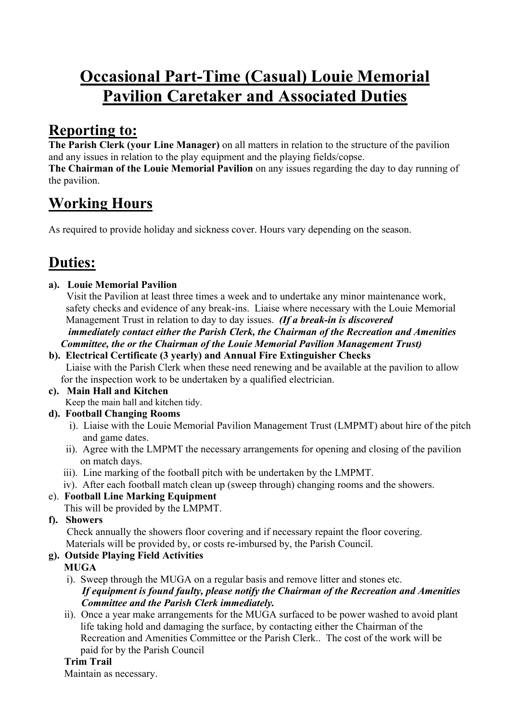# **Occasional Part-Time (Casual) Louie Memorial Pavilion Caretaker and Associated Duties**

# **Reporting to:**

**The Parish Clerk (your Line Manager)** on all matters in relation to the structure of the pavilion and any issues in relation to the play equipment and the playing fields/copse.

**The Chairman of the Louie Memorial Pavilion** on any issues regarding the day to day running of the pavilion.

# **Working Hours**

As required to provide holiday and sickness cover. Hours vary depending on the season.

# **Duties:**

# **a). Louie Memorial Pavilion**

 Visit the Pavilion at least three times a week and to undertake any minor maintenance work, safety checks and evidence of any break-ins. Liaise where necessary with the Louie Memorial Management Trust in relation to day to day issues. *(If a break-in is discovered immediately contact either the Parish Clerk, the Chairman of the Recreation and Amenities Committee, the or the Chairman of the Louie Memorial Pavilion Management Trust)* 

 **b). Electrical Certificate (3 yearly) and Annual Fire Extinguisher Checks** Liaise with the Parish Clerk when these need renewing and be available at the pavilion to allow for the inspection work to be undertaken by a qualified electrician.

#### **c). Main Hall and Kitchen**  Keep the main hall and kitchen tidy.

# **d). Football Changing Rooms**

- i). Liaise with the Louie Memorial Pavilion Management Trust (LMPMT) about hire of the pitch and game dates.
- ii). Agree with the LMPMT the necessary arrangements for opening and closing of the pavilion on match days.
- iii). Line marking of the football pitch with be undertaken by the LMPMT.
- iv). After each football match clean up (sweep through) changing rooms and the showers.
- e). **Football Line Marking Equipment**
	- This will be provided by the LMPMT.

# **f). Showers**

 Check annually the showers floor covering and if necessary repaint the floor covering. Materials will be provided by, or costs re-imbursed by, the Parish Council.

# **g). Outside Playing Field Activities**

# **MUGA**

i). Sweep through the MUGA on a regular basis and remove litter and stones etc.

### *If equipment is found faulty, please notify the Chairman of the Recreation and Amenities Committee and the Parish Clerk immediately.*

 ii). Once a year make arrangements for the MUGA surfaced to be power washed to avoid plant life taking hold and damaging the surface, by contacting either the Chairman of the Recreation and Amenities Committee or the Parish Clerk.. The cost of the work will be paid for by the Parish Council

# **Trim Trail**

Maintain as necessary.